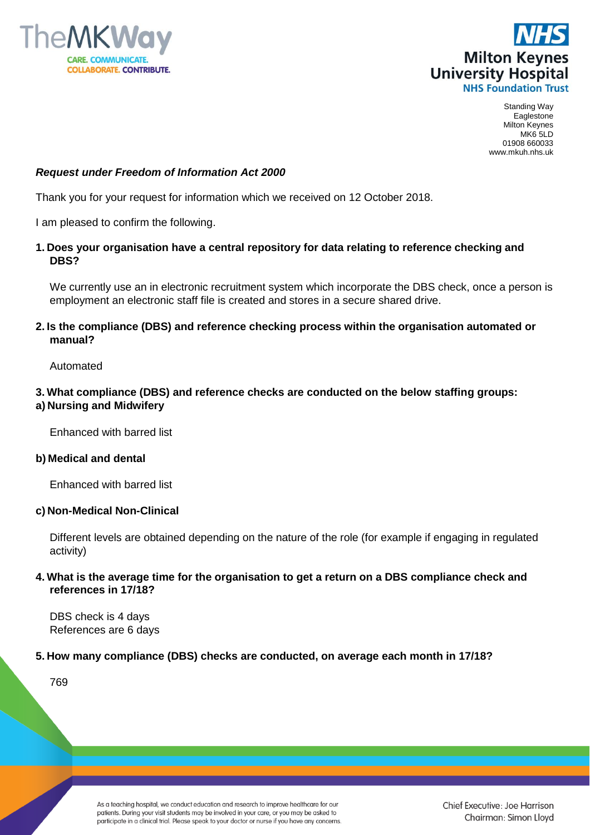



Standing Way Eaglestone Milton Keynes MK6 5LD 01908 660033 www.mkuh.nhs.uk

## *Request under Freedom of Information Act 2000*

Thank you for your request for information which we received on 12 October 2018.

I am pleased to confirm the following.

#### **1. Does your organisation have a central repository for data relating to reference checking and DBS?**

We currently use an in electronic recruitment system which incorporate the DBS check, once a person is employment an electronic staff file is created and stores in a secure shared drive.

## **2. Is the compliance (DBS) and reference checking process within the organisation automated or manual?**

Automated

## **3. What compliance (DBS) and reference checks are conducted on the below staffing groups: a) Nursing and Midwifery**

Enhanced with barred list

#### **b) Medical and dental**

Enhanced with barred list

## **c) Non-Medical Non-Clinical**

Different levels are obtained depending on the nature of the role (for example if engaging in regulated activity)

## **4. What is the average time for the organisation to get a return on a DBS compliance check and references in 17/18?**

DBS check is 4 days References are 6 days

## **5. How many compliance (DBS) checks are conducted, on average each month in 17/18?**

769

As a teaching hospital, we conduct education and research to improve healthcare for our patients. During your visit students may be involved in your care, or you may be asked to participate in a clinical trial. Please speak to your doctor or nurse if you have any concerns.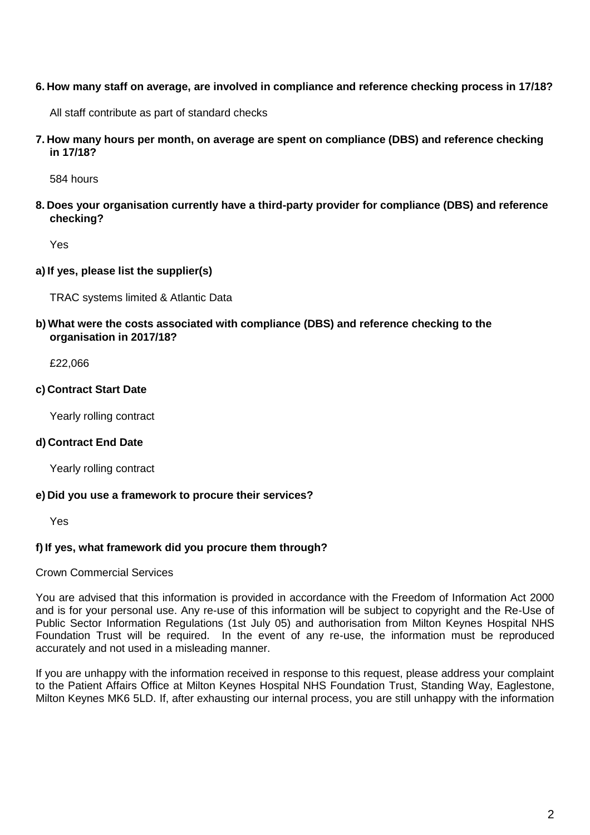#### **6. How many staff on average, are involved in compliance and reference checking process in 17/18?**

All staff contribute as part of standard checks

**7. How many hours per month, on average are spent on compliance (DBS) and reference checking in 17/18?** 

584 hours

**8. Does your organisation currently have a third-party provider for compliance (DBS) and reference checking?**

Yes

## **a) If yes, please list the supplier(s)**

TRAC systems limited & Atlantic Data

**b) What were the costs associated with compliance (DBS) and reference checking to the organisation in 2017/18?**

£22,066

#### **c) Contract Start Date**

Yearly rolling contract

#### **d) Contract End Date**

Yearly rolling contract

#### **e) Did you use a framework to procure their services?**

Yes

# **f) If yes, what framework did you procure them through?**

## Crown Commercial Services

You are advised that this information is provided in accordance with the Freedom of Information Act 2000 and is for your personal use. Any re-use of this information will be subject to copyright and the Re-Use of Public Sector Information Regulations (1st July 05) and authorisation from Milton Keynes Hospital NHS Foundation Trust will be required. In the event of any re-use, the information must be reproduced accurately and not used in a misleading manner.

If you are unhappy with the information received in response to this request, please address your complaint to the Patient Affairs Office at Milton Keynes Hospital NHS Foundation Trust, Standing Way, Eaglestone, Milton Keynes MK6 5LD. If, after exhausting our internal process, you are still unhappy with the information